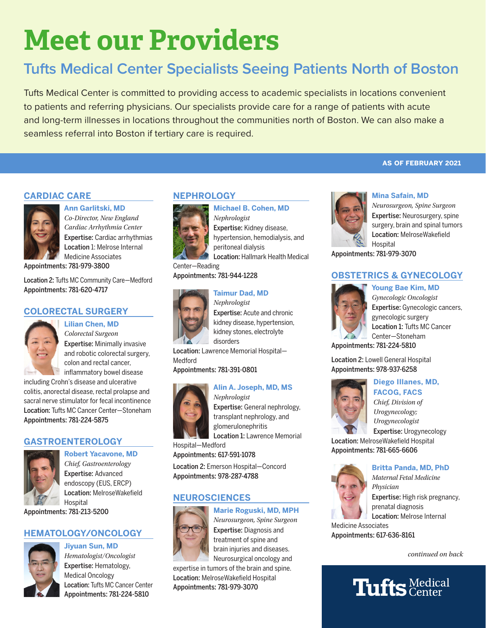# **Meet our Providers**

## **Tufts Medical Center Specialists Seeing Patients North of Boston**

Tufts Medical Center is committed to providing access to academic specialists in locations convenient to patients and referring physicians. Our specialists provide care for a range of patients with acute and long-term illnesses in locations throughout the communities north of Boston. We can also make a seamless referral into Boston if tertiary care is required.

#### **CARDIAC CARE**



**Ann Garlitski, MD** *Co-Director, New England Cardiac Arrhythmia Center* Expertise: Cardiac arrhythmias Location 1: Melrose Internal Medicine Associates

Appointments: 781-979-3800

Location 2: Tufts MC Community Care—Medford Appointments: 781-620-4717

**Lilian Chen, MD**

#### **COLORECTAL SURGERY**



*Colorectal Surgeon* Expertise: Minimally invasive and robotic colorectal surgery, colon and rectal cancer, inflammatory bowel disease

including Crohn's disease and ulcerative colitis, anorectal disease, rectal prolapse and sacral nerve stimulator for fecal incontinence Location: Tufts MC Cancer Center—Stoneham Appointments: 781-224-5875

#### **GASTROENTEROLOGY**



**Robert Yacavone, MD** *Chief, Gastroenterology* Expertise: Advanced endoscopy (EUS, ERCP) Location: MelroseWakefield Hospital Appointments: 781-213-5200

#### **HEMATOLOGY/ONCOLOGY**

#### **Jiyuan Sun, MD**



*Hematologist/Oncologist* Expertise: Hematology, Medical Oncology Location: Tufts MC Cancer Center Appointments: 781-224-5810

#### **NEPHROLOGY**



*Nephrologist* Expertise: Kidney disease, hypertension, hemodialysis, and peritoneal dialysis

**Michael B. Cohen, MD**

Location: Hallmark Health Medical Center—Reading

Appointments: 781-944-1228

#### **Taimur Dad, MD**



*Nephrologist* Expertise: Acute and chronic kidney disease, hypertension, kidney stones, electrolyte disorders

Location: Lawrence Memorial Hospital— Medford

Appointments: 781-391-0801

## *Nephrologist*



Expertise: General nephrology, transplant nephrology, and glomerulonephritis Location 1: Lawrence Memorial

Hospital—Medford Appointments: 617-591-1078

Location 2: Emerson Hospital—Concord Appointments: 978-287-4788

#### **NEUROSCIENCES**

#### **Marie Roguski, MD, MPH**



*Neurosurgeon, Spine Surgeon* Expertise: Diagnosis and treatment of spine and brain injuries and diseases. Neurosurgical oncology and

expertise in tumors of the brain and spine. Location: MelroseWakefield Hospital Appointments: 781-979-3070





**Mina Safain, MD**

*Neurosurgeon, Spine Surgeon* Expertise: Neurosurgery, spine surgery, brain and spinal tumors Location: MelroseWakefield Hospital

Appointments: 781-979-3070

### **OBSTETRICS & GYNECOLOGY**



*Gynecologic Oncologist* Expertise: Gynecologic cancers, gynecologic surgery Location 1: Tufts MC Cancer Center—Stoneham

Appointments: 781-224-5810

Location 2: Lowell General Hospital Appointments: 978-937-6258



### **Diego Illanes, MD, FACOG, FACS** *Chief, Division of*

*Urogynecology; Urogynecologist* Expertise: Urogynecology

Location: MelroseWakefield Hospital Appointments: 781-665-6606



#### **Britta Panda, MD, PhD** *Maternal Fetal Medicine Physician* Expertise: High risk pregnancy, prenatal diagnosis Location: Melrose Internal

Medicine Associates Appointments: 617-636-8161

*continued on back*

## **Tufts** Medical

# **Alin A. Joseph, MD, MS**

**Young Bae Kim, MD**